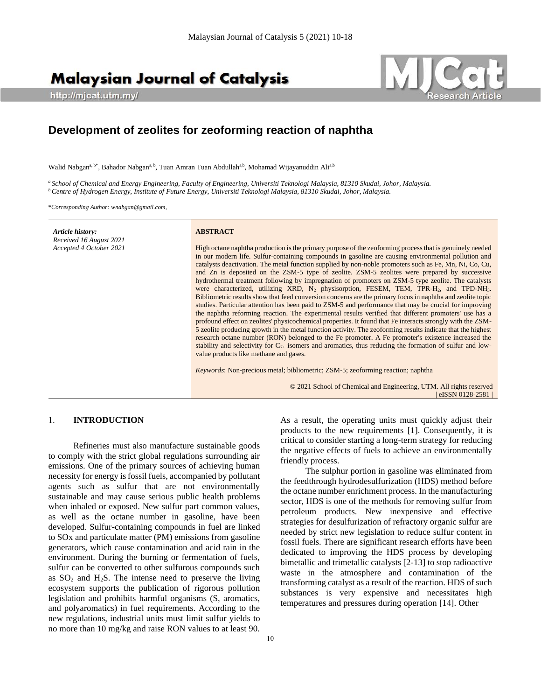# **Malaysian Journal of Catalysis**

http://mjcat.utm.my/



# **Development of zeolites for zeoforming reaction of naphtha**

Walid Nabgan<sup>a, b\*</sup>, Bahador Nabgan<sup>a, b</sup>, Tuan Amran Tuan Abdullah<sup>a,b</sup>, Mohamad Wijayanuddin Ali<sup>a,b</sup>

*<sup>a</sup>School of Chemical and Energy Engineering, Faculty of Engineering, Universiti Teknologi Malaysia, 81310 Skudai, Johor, Malaysia. <sup>b</sup>Centre of Hydrogen Energy, Institute of Future Energy, Universiti Teknologi Malaysia, 81310 Skudai, Johor, Malaysia.*

\**Corresponding Author[: wnabgan@gmail.com,](mailto:wnabgan@gmail.com)* 

*Article history: Received 16 August 2021 Accepted 4 October 2021*

#### **ABSTRACT**

High octane naphtha production is the primary purpose of the zeoforming process that is genuinely needed in our modern life. Sulfur-containing compounds in gasoline are causing environmental pollution and catalysts deactivation. The metal function supplied by non-noble promoters such as Fe, Mn, Ni, Co, Cu, and Zn is deposited on the ZSM-5 type of zeolite. ZSM-5 zeolites were prepared by successive hydrothermal treatment following by impregnation of promoters on ZSM-5 type zeolite. The catalysts were characterized, utilizing XRD, N<sub>2</sub> physisorption, FESEM, TEM, TPR-H<sub>2</sub>, and TPD-NH<sub>3</sub>. Bibliometric results show that feed conversion concerns are the primary focus in naphtha and zeolite topic studies. Particular attention has been paid to ZSM-5 and performance that may be crucial for improving the naphtha reforming reaction. The experimental results verified that different promoters' use has a profound effect on zeolites' physicochemical properties. It found that Fe interacts strongly with the ZSM-5 zeolite producing growth in the metal function activity. The zeoforming results indicate that the highest research octane number (RON) belonged to the Fe promoter. A Fe promoter's existence increased the stability and selectivity for  $C_{7+}$  isomers and aromatics, thus reducing the formation of sulfur and lowvalue products like methane and gases.

*Keywords*: Non-precious metal; bibliometric; ZSM-5; zeoforming reaction; naphtha

© 2021 School of Chemical and Engineering, UTM. All rights reserved | eISSN 0128-2581 |

#### 1. **INTRODUCTION**

Refineries must also manufacture sustainable goods to comply with the strict global regulations surrounding air emissions. One of the primary sources of achieving human necessity for energy is fossil fuels, accompanied by pollutant agents such as sulfur that are not environmentally sustainable and may cause serious public health problems when inhaled or exposed. New sulfur part common values, as well as the octane number in gasoline, have been developed. Sulfur-containing compounds in fuel are linked to SOx and particulate matter (PM) emissions from gasoline generators, which cause contamination and acid rain in the environment. During the burning or fermentation of fuels, sulfur can be converted to other sulfurous compounds such as  $SO<sub>2</sub>$  and  $H<sub>2</sub>S$ . The intense need to preserve the living ecosystem supports the publication of rigorous pollution legislation and prohibits harmful organisms (S, aromatics, and polyaromatics) in fuel requirements. According to the new regulations, industrial units must limit sulfur yields to no more than 10 mg/kg and raise RON values to at least 90.

As a result, the operating units must quickly adjust their products to the new requirements [1]. Consequently, it is critical to consider starting a long-term strategy for reducing the negative effects of fuels to achieve an environmentally friendly process.

The sulphur portion in gasoline was eliminated from the feedthrough hydrodesulfurization (HDS) method before the octane number enrichment process. In the manufacturing sector, HDS is one of the methods for removing sulfur from petroleum products. New inexpensive and effective strategies for desulfurization of refractory organic sulfur are needed by strict new legislation to reduce sulfur content in fossil fuels. There are significant research efforts have been dedicated to improving the HDS process by developing bimetallic and trimetallic catalysts [2-13] to stop radioactive waste in the atmosphere and contamination of the transforming catalyst as a result of the reaction. HDS of such substances is very expensive and necessitates high temperatures and pressures during operation [14]. Other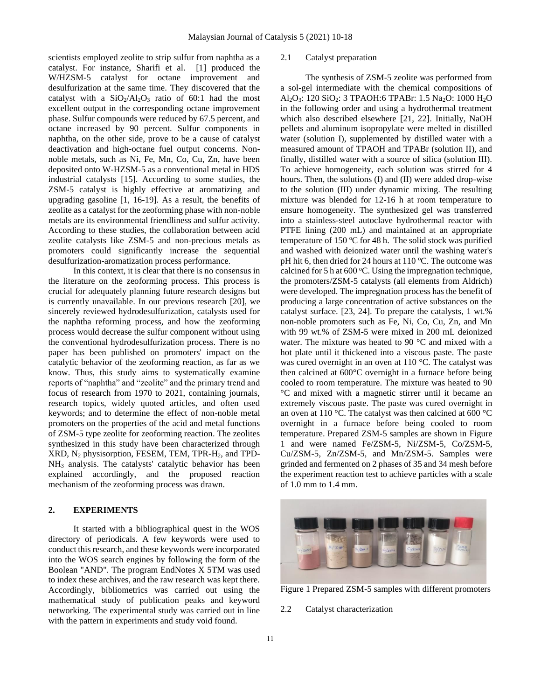scientists employed zeolite to strip sulfur from naphtha as a catalyst. For instance, Sharifi et al. [1] produced the W/HZSM-5 catalyst for octane improvement and desulfurization at the same time. They discovered that the catalyst with a  $SiO_2/Al_2O_3$  ratio of 60:1 had the most excellent output in the corresponding octane improvement phase. Sulfur compounds were reduced by 67.5 percent, and octane increased by 90 percent. Sulfur components in naphtha, on the other side, prove to be a cause of catalyst deactivation and high-octane fuel output concerns. Nonnoble metals, such as Ni, Fe, Mn, Co, Cu, Zn, have been deposited onto W-HZSM-5 as a conventional metal in HDS industrial catalysts [15]. According to some studies, the ZSM-5 catalyst is highly effective at aromatizing and upgrading gasoline [1, 16-19]. As a result, the benefits of zeolite as a catalyst for the zeoforming phase with non-noble metals are its environmental friendliness and sulfur activity. According to these studies, the collaboration between acid zeolite catalysts like ZSM-5 and non-precious metals as promoters could significantly increase the sequential desulfurization-aromatization process performance.

In this context, it is clear that there is no consensus in the literature on the zeoforming process. This process is crucial for adequately planning future research designs but is currently unavailable. In our previous research [20], we sincerely reviewed hydrodesulfurization, catalysts used for the naphtha reforming process, and how the zeoforming process would decrease the sulfur component without using the conventional hydrodesulfurization process. There is no paper has been published on promoters' impact on the catalytic behavior of the zeoforming reaction, as far as we know. Thus, this study aims to systematically examine reports of "naphtha" and "zeolite" and the primary trend and focus of research from 1970 to 2021, containing journals, research topics, widely quoted articles, and often used keywords; and to determine the effect of non-noble metal promoters on the properties of the acid and metal functions of ZSM-5 type zeolite for zeoforming reaction. The zeolites synthesized in this study have been characterized through XRD, N<sup>2</sup> physisorption, FESEM, TEM, TPR-H2, and TPD-NH<sup>3</sup> analysis. The catalysts' catalytic behavior has been explained accordingly, and the proposed reaction mechanism of the zeoforming process was drawn.

## **2. EXPERIMENTS**

It started with a bibliographical quest in the WOS directory of periodicals. A few keywords were used to conduct this research, and these keywords were incorporated into the WOS search engines by following the form of the Boolean "AND". The program EndNotes X 5TM was used to index these archives, and the raw research was kept there. Accordingly, bibliometrics was carried out using the mathematical study of publication peaks and keyword networking. The experimental study was carried out in line with the pattern in experiments and study void found.

#### 2.1 Catalyst preparation

The synthesis of ZSM-5 zeolite was performed from a sol-gel intermediate with the chemical compositions of Al<sub>2</sub>O<sub>3</sub>: 120 SiO<sub>2</sub>: 3 TPAOH:6 TPABr: 1.5 Na<sub>2</sub>O: 1000 H<sub>2</sub>O in the following order and using a hydrothermal treatment which also described elsewhere [21, 22]. Initially, NaOH pellets and aluminum isopropylate were melted in distilled water (solution I), supplemented by distilled water with a measured amount of TPAOH and TPABr (solution II), and finally, distilled water with a source of silica (solution III). To achieve homogeneity, each solution was stirred for 4 hours. Then, the solutions (I) and (II) were added drop-wise to the solution (III) under dynamic mixing. The resulting mixture was blended for 12-16 h at room temperature to ensure homogeneity. The synthesized gel was transferred into a stainless-steel autoclave hydrothermal reactor with PTFE lining (200 mL) and maintained at an appropriate temperature of 150  $\degree$ C for 48 h. The solid stock was purified and washed with deionized water until the washing water's pH hit 6, then dried for 24 hours at  $110^{\circ}$ C. The outcome was calcined for 5 h at  $600^{\circ}$ C. Using the impregnation technique, the promoters/ZSM-5 catalysts (all elements from Aldrich) were developed. The impregnation process has the benefit of producing a large concentration of active substances on the catalyst surface. [23, 24]. To prepare the catalysts, 1 wt.% non-noble promoters such as Fe, Ni, Co, Cu, Zn, and Mn with 99 wt.% of ZSM-5 were mixed in 200 mL deionized water. The mixture was heated to 90 °C and mixed with a hot plate until it thickened into a viscous paste. The paste was cured overnight in an oven at 110 °C. The catalyst was then calcined at 600°C overnight in a furnace before being cooled to room temperature. The mixture was heated to 90 °C and mixed with a magnetic stirrer until it became an extremely viscous paste. The paste was cured overnight in an oven at 110 °C. The catalyst was then calcined at 600 °C overnight in a furnace before being cooled to room temperature. Prepared ZSM-5 samples are shown in [Figure](#page-1-0)  [1](#page-1-0) and were named Fe/ZSM-5, Ni/ZSM-5, Co/ZSM-5, Cu/ZSM-5, Zn/ZSM-5, and Mn/ZSM-5. Samples were grinded and fermented on 2 phases of 35 and 34 mesh before the experiment reaction test to achieve particles with a scale of 1.0 mm to 1.4 mm.



Figure 1 Prepared ZSM-5 samples with different promoters

<span id="page-1-0"></span>2.2 Catalyst characterization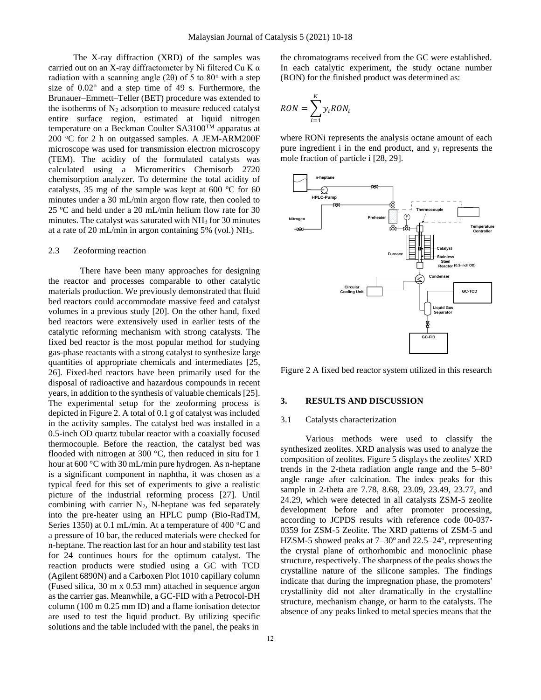The X-ray diffraction (XRD) of the samples was carried out on an X-ray diffractometer by Ni filtered Cu K α radiation with a scanning angle (2 $\theta$ ) of 5 to 80<sup>o</sup> with a step size of 0.02° and a step time of 49 s. Furthermore, the Brunauer–Emmett–Teller (BET) procedure was extended to the isotherms of  $N_2$  adsorption to measure reduced catalyst entire surface region, estimated at liquid nitrogen temperature on a Beckman Coulter SA3100TM apparatus at  $200$  °C for 2 h on outgassed samples. A JEM-ARM200F microscope was used for transmission electron microscopy (TEM). The acidity of the formulated catalysts was calculated using a Micromeritics Chemisorb 2720 chemisorption analyzer. To determine the total acidity of catalysts, 35 mg of the sample was kept at 600  $\degree$ C for 60 minutes under a 30 mL/min argon flow rate, then cooled to 25  $\degree$ C and held under a 20 mL/min helium flow rate for 30 minutes. The catalyst was saturated with  $NH<sub>3</sub>$  for 30 minutes at a rate of 20 mL/min in argon containing 5% (vol.) NH3.

#### 2.3 Zeoforming reaction

There have been many approaches for designing the reactor and processes comparable to other catalytic materials production. We previously demonstrated that fluid bed reactors could accommodate massive feed and catalyst volumes in a previous study [20]. On the other hand, fixed bed reactors were extensively used in earlier tests of the catalytic reforming mechanism with strong catalysts. The fixed bed reactor is the most popular method for studying gas-phase reactants with a strong catalyst to synthesize large quantities of appropriate chemicals and intermediates [25, 26]. Fixed-bed reactors have been primarily used for the disposal of radioactive and hazardous compounds in recent years, in addition to the synthesis of valuable chemicals [25]. The experimental setup for the zeoforming process is depicted i[n Figure 2.](#page-2-0) A total of 0.1 g of catalyst was included in the activity samples. The catalyst bed was installed in a 0.5-inch OD quartz tubular reactor with a coaxially focused thermocouple. Before the reaction, the catalyst bed was flooded with nitrogen at 300 °C, then reduced in situ for 1 hour at 600 °C with 30 mL/min pure hydrogen. As n-heptane is a significant component in naphtha, it was chosen as a typical feed for this set of experiments to give a realistic picture of the industrial reforming process [27]. Until combining with carrier  $N_2$ , N-heptane was fed separately into the pre-heater using an HPLC pump (Bio-RadTM, Series 1350) at 0.1 mL/min. At a temperature of 400  $^{\circ}$ C and a pressure of 10 bar, the reduced materials were checked for n-heptane. The reaction last for an hour and stability test last for 24 continues hours for the optimum catalyst. The reaction products were studied using a GC with TCD (Agilent 6890N) and a Carboxen Plot 1010 capillary column (Fused silica, 30 m x 0.53 mm) attached in sequence argon as the carrier gas. Meanwhile, a GC-FID with a Petrocol-DH column (100 m 0.25 mm ID) and a flame ionisation detector are used to test the liquid product. By utilizing specific solutions and the table included with the panel, the peaks in

the chromatograms received from the GC were established. In each catalytic experiment, the study octane number (RON) for the finished product was determined as:

$$
RON = \sum_{i=1}^{K} y_iRON_i
$$

where RONi represents the analysis octane amount of each pure ingredient i in the end product, and y<sup>i</sup> represents the mole fraction of particle i [28, 29].



<span id="page-2-0"></span>Figure 2 A fixed bed reactor system utilized in this research

#### **3. RESULTS AND DISCUSSION**

#### 3.1 Catalysts characterization

Various methods were used to classify the synthesized zeolites. XRD analysis was used to analyze the composition of zeolites. Figure 5 displays the zeolites' XRD trends in the 2-theta radiation angle range and the  $5-80^\circ$ angle range after calcination. The index peaks for this sample in 2-theta are 7.78, 8.68, 23.09, 23.49, 23.77, and 24.29, which were detected in all catalysts ZSM-5 zeolite development before and after promoter processing, according to JCPDS results with reference code 00-037- 0359 for ZSM-5 Zeolite. The XRD patterns of ZSM-5 and HZSM-5 showed peaks at  $7-30^{\circ}$  and  $22.5-24^{\circ}$ , representing the crystal plane of orthorhombic and monoclinic phase structure, respectively. The sharpness of the peaks shows the crystalline nature of the silicone samples. The findings indicate that during the impregnation phase, the promoters' crystallinity did not alter dramatically in the crystalline structure, mechanism change, or harm to the catalysts. The absence of any peaks linked to metal species means that the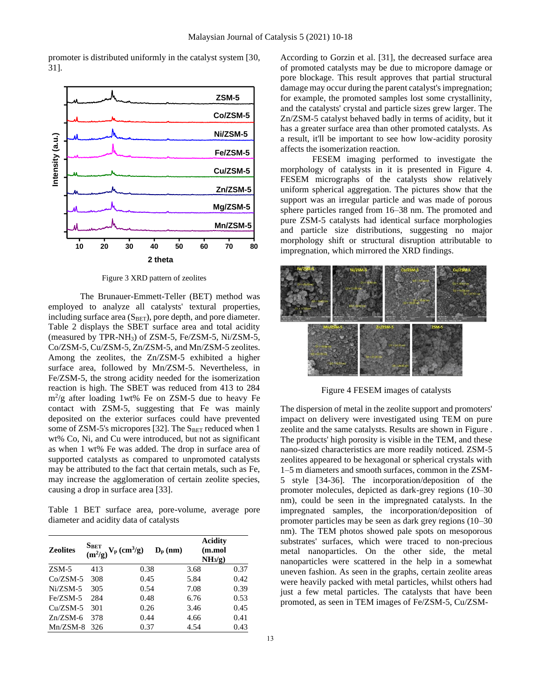promoter is distributed uniformly in the catalyst system [30, 31].



Figure 3 XRD pattern of zeolites

The Brunauer-Emmett-Teller (BET) method was employed to analyze all catalysts' textural properties, including surface area  $(S<sub>BET</sub>)$ , pore depth, and pore diameter. Table 2 displays the SBET surface area and total acidity (measured by TPR-NH3) of ZSM-5, Fe/ZSM-5, Ni/ZSM-5, Co/ZSM-5, Cu/ZSM-5, Zn/ZSM-5, and Mn/ZSM-5 zeolites. Among the zeolites, the Zn/ZSM-5 exhibited a higher surface area, followed by Mn/ZSM-5. Nevertheless, in Fe/ZSM-5, the strong acidity needed for the isomerization reaction is high. The SBET was reduced from 413 to 284 m<sup>2</sup> /g after loading 1wt% Fe on ZSM-5 due to heavy Fe contact with ZSM-5, suggesting that Fe was mainly deposited on the exterior surfaces could have prevented some of ZSM-5's micropores [32]. The  $S<sub>BET</sub>$  reduced when 1 wt% Co, Ni, and Cu were introduced, but not as significant as when 1 wt% Fe was added. The drop in surface area of supported catalysts as compared to unpromoted catalysts may be attributed to the fact that certain metals, such as Fe, may increase the agglomeration of certain zeolite species, causing a drop in surface area [33].

Table 1 BET surface area, pore-volume, average pore diameter and acidity data of catalysts

| <b>Zeolites</b> | S <sub>BET</sub> | $\widetilde{(\mbox{m}^2/\mbox{g})}$ V <sub>p</sub> (cm <sup>3</sup> /g) | $D_{\rm p}$ (nm) | <b>Acidity</b><br>(m.mol<br>NH <sub>3</sub> /g) |
|-----------------|------------------|-------------------------------------------------------------------------|------------------|-------------------------------------------------|
| $ZSM-5$         | 413              | 0.38                                                                    | 3.68             | 0.37                                            |
| $Co/ZSM-5$      | 308              | 0.45                                                                    | 5.84             | 0.42                                            |
| $Ni/ZSM-5$      | 305              | 0.54                                                                    | 7.08             | 0.39                                            |
| Fe/ZSM-5        | 284              | 0.48                                                                    | 6.76             | 0.53                                            |
| $Cu/ZSM-5$      | 301              | 0.26                                                                    | 3.46             | 0.45                                            |
| $Zn/ZSM-6$      | 378              | 0.44                                                                    | 4.66             | 0.41                                            |
| $Mn/ZSM-8$      | 326              | 0.37                                                                    | 4.54             | 0.43                                            |

According to Gorzin et al. [31], the decreased surface area of promoted catalysts may be due to micropore damage or pore blockage. This result approves that partial structural damage may occur during the parent catalyst's impregnation; for example, the promoted samples lost some crystallinity, and the catalysts' crystal and particle sizes grew larger. The Zn/ZSM-5 catalyst behaved badly in terms of acidity, but it has a greater surface area than other promoted catalysts. As a result, it'll be important to see how low-acidity porosity affects the isomerization reaction.

FESEM imaging performed to investigate the morphology of catalysts in it is presented in [Figure 4.](#page-3-0) FESEM micrographs of the catalysts show relatively uniform spherical aggregation. The pictures show that the support was an irregular particle and was made of porous sphere particles ranged from 16–38 nm. The promoted and pure ZSM-5 catalysts had identical surface morphologies and particle size distributions, suggesting no major morphology shift or structural disruption attributable to impregnation, which mirrored the XRD findings.



Figure 4 FESEM images of catalysts

<span id="page-3-0"></span>The dispersion of metal in the zeolite support and promoters' impact on delivery were investigated using TEM on pure zeolite and the same catalysts. Results are shown in [Figure .](#page-4-0) The products' high porosity is visible in the TEM, and these nano-sized characteristics are more readily noticed. ZSM-5 zeolites appeared to be hexagonal or spherical crystals with 1–5 m diameters and smooth surfaces, common in the ZSM-5 style [34-36]. The incorporation/deposition of the promoter molecules, depicted as dark-grey regions (10–30 nm), could be seen in the impregnated catalysts. In the impregnated samples, the incorporation/deposition of promoter particles may be seen as dark grey regions (10–30 nm). The TEM photos showed pale spots on mesoporous substrates' surfaces, which were traced to non-precious metal nanoparticles. On the other side, the metal nanoparticles were scattered in the help in a somewhat uneven fashion. As seen in the graphs, certain zeolite areas were heavily packed with metal particles, whilst others had just a few metal particles. The catalysts that have been promoted, as seen in TEM images of Fe/ZSM-5, Cu/ZSM-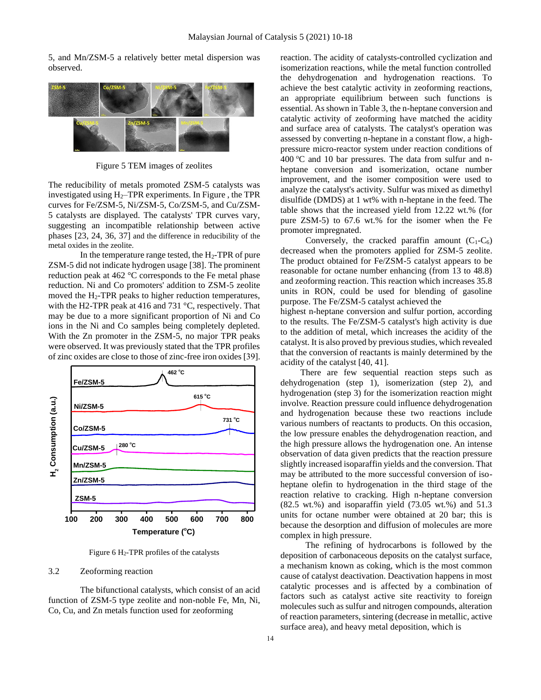5, and Mn/ZSM-5 a relatively better metal dispersion was observed.



Figure 5 TEM images of zeolites

<span id="page-4-0"></span>The reducibility of metals promoted ZSM-5 catalysts was investigated using  $H_2$ –TPR experiments. In Figure, the TPR curves for Fe/ZSM-5, Ni/ZSM-5, Co/ZSM-5, and Cu/ZSM-5 catalysts are displayed. The catalysts' TPR curves vary, suggesting an incompatible relationship between active phases [23, 24, 36, 37] and the difference in reducibility of the metal oxides in the zeolite.

In the temperature range tested, the  $H_2$ -TPR of pure ZSM-5 did not indicate hydrogen usage [38]. The prominent reduction peak at 462 °C corresponds to the Fe metal phase reduction. Ni and Co promoters' addition to ZSM-5 zeolite moved the  $H_2$ -TPR peaks to higher reduction temperatures, with the H2-TPR peak at 416 and 731 °C, respectively. That may be due to a more significant proportion of Ni and Co ions in the Ni and Co samples being completely depleted. With the Zn promoter in the ZSM-5, no major TPR peaks were observed. It was previously stated that the TPR profiles of zinc oxides are close to those of zinc-free iron oxides [39].



Figure 6 H2-TPR profiles of the catalysts

#### <span id="page-4-1"></span>3.2 Zeoforming reaction

The bifunctional catalysts, which consist of an acid function of ZSM-5 type zeolite and non-noble Fe, Mn, Ni, Co, Cu, and Zn metals function used for zeoforming

reaction. The acidity of catalysts-controlled cyclization and isomerization reactions, while the metal function controlled the dehydrogenation and hydrogenation reactions. To achieve the best catalytic activity in zeoforming reactions, an appropriate equilibrium between such functions is essential. As shown in Table 3, the n-heptane conversion and catalytic activity of zeoforming have matched the acidity and surface area of catalysts. The catalyst's operation was assessed by converting n-heptane in a constant flow, a highpressure micro-reactor system under reaction conditions of 400  $\degree$ C and 10 bar pressures. The data from sulfur and nheptane conversion and isomerization, octane number improvement, and the isomer composition were used to analyze the catalyst's activity. Sulfur was mixed as dimethyl disulfide (DMDS) at 1 wt% with n-heptane in the feed. The table shows that the increased yield from 12.22 wt.% (for pure ZSM-5) to 67.6 wt.% for the isomer when the Fe promoter impregnated.

Conversely, the cracked paraffin amount  $(C_1-C_6)$ decreased when the promoters applied for ZSM-5 zeolite. The product obtained for Fe/ZSM-5 catalyst appears to be reasonable for octane number enhancing (from 13 to 48.8) and zeoforming reaction. This reaction which increases 35.8 units in RON, could be used for blending of gasoline purpose. The Fe/ZSM-5 catalyst achieved the

highest n-heptane conversion and sulfur portion, according to the results. The Fe/ZSM-5 catalyst's high activity is due to the addition of metal, which increases the acidity of the catalyst. It is also proved by previous studies, which revealed that the conversion of reactants is mainly determined by the acidity of the catalyst [40, 41].

 There are few sequential reaction steps such as dehydrogenation (step 1), isomerization (step 2), and hydrogenation (step 3) for the isomerization reaction might involve. Reaction pressure could influence dehydrogenation and hydrogenation because these two reactions include various numbers of reactants to products. On this occasion, the low pressure enables the dehydrogenation reaction, and the high pressure allows the hydrogenation one. An intense observation of data given predicts that the reaction pressure slightly increased isoparaffin yields and the conversion. That may be attributed to the more successful conversion of isoheptane olefin to hydrogenation in the third stage of the reaction relative to cracking. High n-heptane conversion (82.5 wt.%) and isoparaffin yield (73.05 wt.%) and 51.3 units for octane number were obtained at 20 bar; this is because the desorption and diffusion of molecules are more complex in high pressure.

The refining of hydrocarbons is followed by the deposition of carbonaceous deposits on the catalyst surface, a mechanism known as coking, which is the most common cause of catalyst deactivation. Deactivation happens in most catalytic processes and is affected by a combination of factors such as catalyst active site reactivity to foreign molecules such as sulfur and nitrogen compounds, alteration of reaction parameters, sintering (decrease in metallic, active surface area), and heavy metal deposition, which is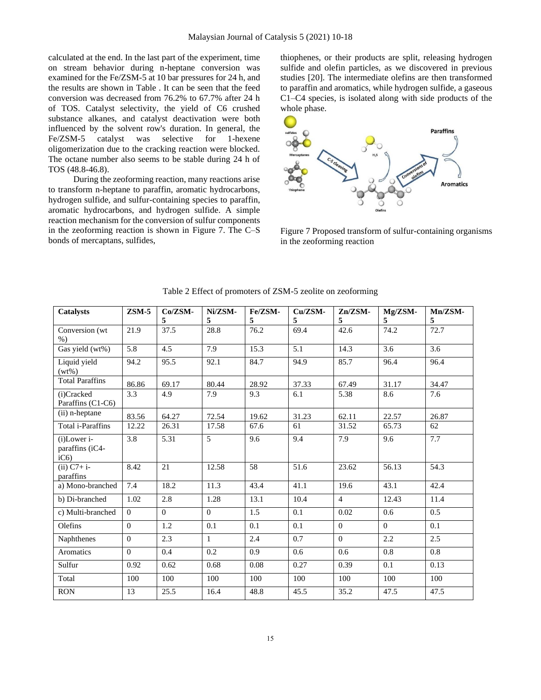calculated at the end. In the last part of the experiment, time on stream behavior during n-heptane conversion was examined for the Fe/ZSM-5 at 10 bar pressures for 24 h, and the results are shown in [Table .](#page-6-0) It can be seen that the feed conversion was decreased from 76.2% to 67.7% after 24 h of TOS. Catalyst selectivity, the yield of C6 crushed substance alkanes, and catalyst deactivation were both influenced by the solvent row's duration. In general, the Fe/ZSM-5 catalyst was selective for 1-hexene oligomerization due to the cracking reaction were blocked. The octane number also seems to be stable during 24 h of TOS (48.8-46.8).

During the zeoforming reaction, many reactions arise to transform n-heptane to paraffin, aromatic hydrocarbons, hydrogen sulfide, and sulfur-containing species to paraffin, aromatic hydrocarbons, and hydrogen sulfide. A simple reaction mechanism for the conversion of sulfur components in the zeoforming reaction is shown in Figure 7. The C–S bonds of mercaptans, sulfides,

thiophenes, or their products are split, releasing hydrogen sulfide and olefin particles, as we discovered in previous studies [20]. The intermediate olefins are then transformed to paraffin and aromatics, while hydrogen sulfide, a gaseous C1–C4 species, is isolated along with side products of the whole phase.



Figure 7 Proposed transform of sulfur-containing organisms in the zeoforming reaction

| <b>Catalysts</b>                                  | $ZSM-5$  | Co/ZSM-<br>5 | Ni/ZSM-<br>5 | Fe/ZSM-<br>5 | Cu/ZSM-<br>5 | $Zn/ZSM-$<br>5 | Mg/ZSM-<br>5 | Mn/ZSM-<br>5 |
|---------------------------------------------------|----------|--------------|--------------|--------------|--------------|----------------|--------------|--------------|
| Conversion (wt<br>$%$ )                           | 21.9     | 37.5         | 28.8         | 76.2         | 69.4         | 42.6           | 74.2         | 72.7         |
| Gas yield (wt%)                                   | 5.8      | 4.5          | 7.9          | 15.3         | 5.1          | 14.3           | 3.6          | 3.6          |
| Liquid yield<br>$(wt\%)$                          | 94.2     | 95.5         | 92.1         | 84.7         | 94.9         | 85.7           | 96.4         | 96.4         |
| <b>Total Paraffins</b>                            | 86.86    | 69.17        | 80.44        | 28.92        | 37.33        | 67.49          | 31.17        | 34.47        |
| (i)Cracked<br>Paraffins (C1-C6)                   | 3.3      | 4.9          | 7.9          | 9.3          | 6.1          | 5.38           | 8.6          | 7.6          |
| (ii) n-heptane                                    | 83.56    | 64.27        | 72.54        | 19.62        | 31.23        | 62.11          | 22.57        | 26.87        |
| <b>Total i-Paraffins</b>                          | 12.22    | 26.31        | 17.58        | 67.6         | 61           | 31.52          | 65.73        | 62           |
| (i)Lower i-<br>paraffins (iC4-<br>iC <sub>6</sub> | 3.8      | 5.31         | 5            | 9.6          | 9.4          | 7.9            | 9.6          | 7.7          |
| $(ii) C7 + i-$<br>paraffins                       | 8.42     | 21           | 12.58        | 58           | 51.6         | 23.62          | 56.13        | 54.3         |
| a) Mono-branched                                  | 7.4      | 18.2         | 11.3         | 43.4         | 41.1         | 19.6           | 43.1         | 42.4         |
| b) Di-branched                                    | 1.02     | 2.8          | 1.28         | 13.1         | 10.4         | $\overline{4}$ | 12.43        | 11.4         |
| c) Multi-branched                                 | $\Omega$ | $\Omega$     | $\Omega$     | 1.5          | 0.1          | 0.02           | 0.6          | 0.5          |
| Olefins                                           | $\Omega$ | 1.2          | 0.1          | 0.1          | 0.1          | $\Omega$       | $\Omega$     | 0.1          |
| Naphthenes                                        | $\Omega$ | 2.3          | $\mathbf{1}$ | 2.4          | 0.7          | $\theta$       | 2.2          | 2.5          |
| Aromatics                                         | $\Omega$ | 0.4          | 0.2          | 0.9          | 0.6          | 0.6            | 0.8          | 0.8          |
| Sulfur                                            | 0.92     | 0.62         | 0.68         | 0.08         | 0.27         | 0.39           | 0.1          | 0.13         |
| Total                                             | 100      | 100          | 100          | 100          | 100          | 100            | 100          | 100          |
| <b>RON</b>                                        | 13       | 25.5         | 16.4         | 48.8         | 45.5         | 35.2           | 47.5         | 47.5         |

Table 2 Effect of promoters of ZSM-5 zeolite on zeoforming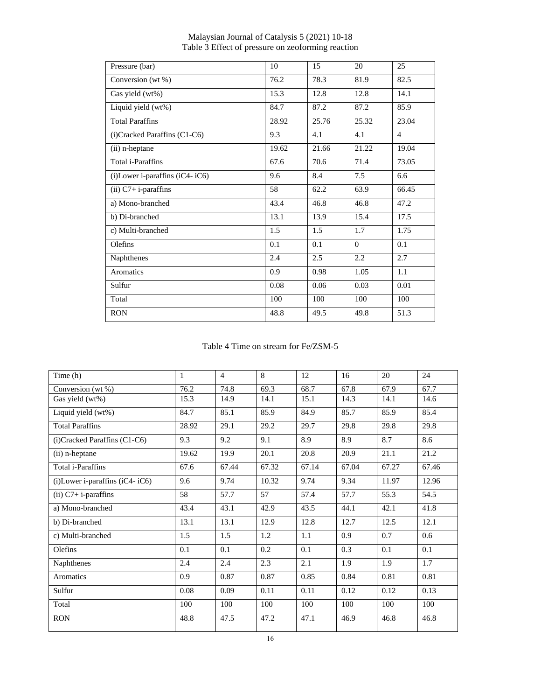| Pressure (bar)                 | 10    | 15    | 20            | 25             |
|--------------------------------|-------|-------|---------------|----------------|
| Conversion (wt %)              | 76.2  | 78.3  | 81.9          | 82.5           |
| Gas yield (wt%)                | 15.3  | 12.8  | 12.8          | 14.1           |
| Liquid yield (wt%)             | 84.7  | 87.2  | 87.2          | 85.9           |
| <b>Total Paraffins</b>         | 28.92 | 25.76 | 25.32         | 23.04          |
| (i)Cracked Paraffins (C1-C6)   | 9.3   | 4.1   | 4.1           | $\overline{4}$ |
| (ii) n-heptane                 | 19.62 | 21.66 | 21.22         | 19.04          |
| <b>Total i-Paraffins</b>       | 67.6  | 70.6  | 71.4          | 73.05          |
| (i)Lower i-paraffins (iC4-iC6) | 9.6   | 8.4   | 7.5           | 6.6            |
| $(ii)$ C7+ i-paraffins         | 58    | 62.2  | 63.9          | 66.45          |
| a) Mono-branched               | 43.4  | 46.8  | 46.8          | 47.2           |
| b) Di-branched                 | 13.1  | 13.9  | 15.4          | 17.5           |
| c) Multi-branched              | 1.5   | 1.5   | 1.7           | 1.75           |
| Olefins                        | 0.1   | 0.1   | $\Omega$      | 0.1            |
| Naphthenes                     | 2.4   | 2.5   | $2.2^{\circ}$ | 2.7            |
| Aromatics                      | 0.9   | 0.98  | 1.05          | 1.1            |
| Sulfur                         | 0.08  | 0.06  | 0.03          | 0.01           |
| Total                          | 100   | 100   | 100           | 100            |
| <b>RON</b>                     | 48.8  | 49.5  | 49.8          | 51.3           |

# Malaysian Journal of Catalysis 5 (2021) 10-18 Table 3 Effect of pressure on zeoforming reaction

Table 4 Time on stream for Fe/ZSM-5

<span id="page-6-0"></span>

| Time (h)                              | 1     | $\overline{4}$ | 8     | 12    | 16    | 20    | 24    |
|---------------------------------------|-------|----------------|-------|-------|-------|-------|-------|
| Conversion (wt %)                     | 76.2  | 74.8           | 69.3  | 68.7  | 67.8  | 67.9  | 67.7  |
| Gas yield (wt%)                       | 15.3  | 14.9           | 14.1  | 15.1  | 14.3  | 14.1  | 14.6  |
| Liquid yield (wt%)                    | 84.7  | 85.1           | 85.9  | 84.9  | 85.7  | 85.9  | 85.4  |
| <b>Total Paraffins</b>                | 28.92 | 29.1           | 29.2  | 29.7  | 29.8  | 29.8  | 29.8  |
| (i)Cracked Paraffins (C1-C6)          | 9.3   | 9.2            | 9.1   | 8.9   | 8.9   | 8.7   | 8.6   |
| (ii) n-heptane                        | 19.62 | 19.9           | 20.1  | 20.8  | 20.9  | 21.1  | 21.2  |
| Total i-Paraffins                     | 67.6  | 67.44          | 67.32 | 67.14 | 67.04 | 67.27 | 67.46 |
| $(i)$ Lower i-paraffins $(iC4 - iC6)$ | 9.6   | 9.74           | 10.32 | 9.74  | 9.34  | 11.97 | 12.96 |
| $(ii)$ C7+ i-paraffins                | 58    | 57.7           | 57    | 57.4  | 57.7  | 55.3  | 54.5  |
| a) Mono-branched                      | 43.4  | 43.1           | 42.9  | 43.5  | 44.1  | 42.1  | 41.8  |
| b) Di-branched                        | 13.1  | 13.1           | 12.9  | 12.8  | 12.7  | 12.5  | 12.1  |
| c) Multi-branched                     | 1.5   | 1.5            | 1.2   | 1.1   | 0.9   | 0.7   | 0.6   |
| Olefins                               | 0.1   | 0.1            | 0.2   | 0.1   | 0.3   | 0.1   | 0.1   |
| Naphthenes                            | 2.4   | 2.4            | 2.3   | 2.1   | 1.9   | 1.9   | 1.7   |
| <b>Aromatics</b>                      | 0.9   | 0.87           | 0.87  | 0.85  | 0.84  | 0.81  | 0.81  |
| Sulfur                                | 0.08  | 0.09           | 0.11  | 0.11  | 0.12  | 0.12  | 0.13  |
| Total                                 | 100   | 100            | 100   | 100   | 100   | 100   | 100   |
| <b>RON</b>                            | 48.8  | 47.5           | 47.2  | 47.1  | 46.9  | 46.8  | 46.8  |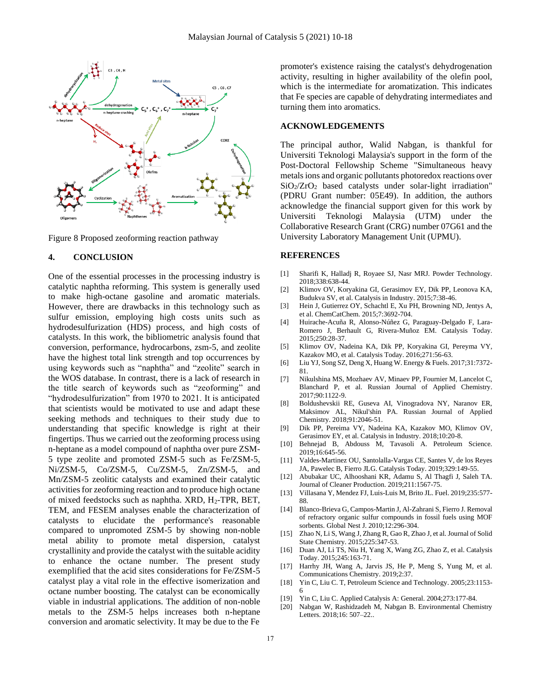

Figure 8 Proposed zeoforming reaction pathway

### **4. CONCLUSION**

One of the essential processes in the processing industry is catalytic naphtha reforming. This system is generally used to make high-octane gasoline and aromatic materials. However, there are drawbacks in this technology such as sulfur emission, employing high costs units such as hydrodesulfurization (HDS) process, and high costs of catalysts. In this work, the bibliometric analysis found that conversion, performance, hydrocarbons, zsm-5, and zeolite have the highest total link strength and top occurrences by using keywords such as "naphtha" and "zeolite" search in the WOS database. In contrast, there is a lack of research in the title search of keywords such as "zeoforming" and "hydrodesulfurization" from 1970 to 2021. It is anticipated that scientists would be motivated to use and adapt these seeking methods and techniques to their study due to understanding that specific knowledge is right at their fingertips. Thus we carried out the zeoforming process using n-heptane as a model compound of naphtha over pure ZSM-5 type zeolite and promoted ZSM-5 such as Fe/ZSM-5, Ni/ZSM-5, Co/ZSM-5, Cu/ZSM-5, Zn/ZSM-5, and Mn/ZSM-5 zeolitic catalysts and examined their catalytic activities for zeoforming reaction and to produce high octane of mixed feedstocks such as naphtha. XRD,  $H_2$ -TPR, BET, TEM, and FESEM analyses enable the characterization of catalysts to elucidate the performance's reasonable compared to unpromoted ZSM-5 by showing non-noble metal ability to promote metal dispersion, catalyst crystallinity and provide the catalyst with the suitable acidity to enhance the octane number. The present study exemplified that the acid sites considerations for Fe/ZSM-5 catalyst play a vital role in the effective isomerization and octane number boosting. The catalyst can be economically viable in industrial applications. The addition of non-noble metals to the ZSM-5 helps increases both n-heptane conversion and aromatic selectivity. It may be due to the Fe

promoter's existence raising the catalyst's dehydrogenation activity, resulting in higher availability of the olefin pool, which is the intermediate for aromatization. This indicates that Fe species are capable of dehydrating intermediates and turning them into aromatics.

### **ACKNOWLEDGEMENTS**

The principal author, Walid Nabgan, is thankful for Universiti Teknologi Malaysia's support in the form of the Post-Doctoral Fellowship Scheme "Simultaneous heavy metals ions and organic pollutants photoredox reactions over  $SiO<sub>2</sub>/ZrO<sub>2</sub>$  based catalysts under solar-light irradiation" (PDRU Grant number: 05E49). In addition, the authors acknowledge the financial support given for this work by Universiti Teknologi Malaysia (UTM) under the Collaborative Research Grant (CRG) number 07G61 and the University Laboratory Management Unit (UPMU).

#### **REFERENCES**

- [1] Sharifi K, Halladj R, Royaee SJ, Nasr MRJ. Powder Technology. 2018;338:638-44.
- [2] Klimov OV, Koryakina GI, Gerasimov EY, Dik PP, Leonova KA, Budukva SV, et al. Catalysis in Industry. 2015;7:38-46.
- [3] Hein J, Gutierrez OY, Schachtl E, Xu PH, Browning ND, Jentys A, et al. ChemCatChem. 2015;7:3692-704.
- [4] Huirache-Acuña R, Alonso-Núñez G, Paraguay-Delgado F, Lara-Romero J, Berhault G, Rivera-Muñoz EM. Catalysis Today. 2015;250:28-37.
- [5] Klimov OV, Nadeina KA, Dik PP, Koryakina GI, Pereyma VY, Kazakov MO, et al. Catalysis Today. 2016;271:56-63.
- [6] Liu YJ, Song SZ, Deng X, Huang W. Energy & Fuels. 2017;31:7372- 81.
- [7] Nikulshina MS, Mozhaev AV, Minaev PP, Fournier M, Lancelot C, Blanchard P, et al. Russian Journal of Applied Chemistry. 2017;90:1122-9.
- [8] Boldushevskii RE, Guseva AI, Vinogradova NY, Naranov ER, Maksimov AL, Nikul'shin PA. Russian Journal of Applied Chemistry. 2018;91:2046-51.
- [9] Dik PP, Pereima VY, Nadeina KA, Kazakov MO, Klimov OV, Gerasimov EY, et al. Catalysis in Industry. 2018;10:20-8.
- [10] Behnejad B, Abdouss M, Tavasoli A. Petroleum Science. 2019;16:645-56.
- [11] Valdes-Martinez OU, Santolalla-Vargas CE, Santes V, de los Reyes JA, Pawelec B, Fierro JLG. Catalysis Today. 2019;329:149-55.
- [12] Abubakar UC, Alhooshani KR, Adamu S, Al Thagfi J, Saleh TA. Journal of Cleaner Production. 2019;211:1567-75.
- [13] Villasana Y, Mendez FJ, Luis-Luis M, Brito JL. Fuel. 2019;235:577- 88.
- [14] Blanco-Brieva G, Campos-Martin J, Al-Zahrani S, Fierro J. Removal of refractory organic sulfur compounds in fossil fuels using MOF sorbents. Global Nest J. 2010;12:296-304.
- [15] Zhao N, Li S, Wang J, Zhang R, Gao R, Zhao J, et al. Journal of Solid State Chemistry. 2015;225:347-53.
- [16] Duan AJ, Li TS, Niu H, Yang X, Wang ZG, Zhao Z, et al. Catalysis Today. 2015;245:163-71.
- [17] Harrhy JH, Wang A, Jarvis JS, He P, Meng S, Yung M, et al. Communications Chemistry. 2019;2:37.
- [18] Yin C, Liu C. T, Petroleum Science and Technology. 2005;23:1153- 6
- [19] Yin C, Liu C. Applied Catalysis A: General. 2004;273:177-84.
- [20] Nabgan W, Rashidzadeh M, Nabgan B. Environmental Chemistry Letters. 2018;16: 507–22..